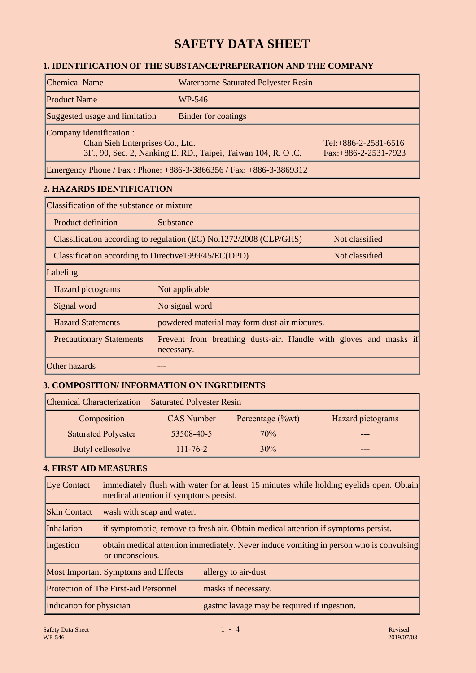# **SAFETY DATA SHEET**

## **1. IDENTIFICATION OF THE SUBSTANCE/PREPERATION AND THE COMPANY**

| <b>Chemical Name</b>                                                                                                        | <b>Waterborne Saturated Polyester Resin</b> |                                                    |
|-----------------------------------------------------------------------------------------------------------------------------|---------------------------------------------|----------------------------------------------------|
| <b>Product Name</b>                                                                                                         | WP-546                                      |                                                    |
| Suggested usage and limitation                                                                                              | <b>Binder for coatings</b>                  |                                                    |
| Company identification :<br>Chan Sieh Enterprises Co., Ltd.<br>3F., 90, Sec. 2, Nanking E. RD., Taipei, Taiwan 104, R. O.C. |                                             | Tel: $+886-2-2581-6516$<br>$Fax: +886-2-2531-7923$ |
| $\sqrt{ }$<br>D <sub>1</sub><br>$\mathbf{M}$                                                                                |                                             |                                                    |

Emergency Phone / Fax : Phone: +886-3-3866356 / Fax: +886-3-3869312

## **2. HAZARDS IDENTIFICATION**

| Classification of the substance or mixture                              |                                                                                 |                |
|-------------------------------------------------------------------------|---------------------------------------------------------------------------------|----------------|
| <b>Product definition</b>                                               | Substance                                                                       |                |
|                                                                         | Classification according to regulation (EC) No.1272/2008 (CLP/GHS)              | Not classified |
| Classification according to Directive 1999/45/EC(DPD)<br>Not classified |                                                                                 |                |
| Labeling                                                                |                                                                                 |                |
| Hazard pictograms                                                       | Not applicable                                                                  |                |
| Signal word                                                             | No signal word                                                                  |                |
| <b>Hazard Statements</b>                                                | powdered material may form dust-air mixtures.                                   |                |
| <b>Precautionary Statements</b>                                         | Prevent from breathing dusts-air. Handle with gloves and masks if<br>necessary. |                |
| Other hazards                                                           |                                                                                 |                |

# **3. COMPOSITION/ INFORMATION ON INGREDIENTS**

| <b>Chemical Characterization</b><br><b>Saturated Polyester Resin</b> |                   |                      |                   |
|----------------------------------------------------------------------|-------------------|----------------------|-------------------|
| Composition                                                          | <b>CAS</b> Number | Percentage $(\%$ wt) | Hazard pictograms |
| <b>Saturated Polyester</b>                                           | 53508-40-5        | 70%                  |                   |
| Butyl cellosolve                                                     | $111 - 76 - 2$    | 30%                  | ---               |

# **4. FIRST AID MEASURES**

| Eye Contact              | immediately flush with water for at least 15 minutes while holding eyelids open. Obtain<br>medical attention if symptoms persist. |                                              |  |
|--------------------------|-----------------------------------------------------------------------------------------------------------------------------------|----------------------------------------------|--|
| <b>Skin Contact</b>      | wash with soap and water.                                                                                                         |                                              |  |
| Inhalation               | if symptomatic, remove to fresh air. Obtain medical attention if symptoms persist.                                                |                                              |  |
| Ingestion                | obtain medical attention immediately. Never induce vomiting in person who is convulsing<br>or unconscious.                        |                                              |  |
|                          | <b>Most Important Symptoms and Effects</b>                                                                                        | allergy to air-dust                          |  |
|                          | <b>Protection of The First-aid Personnel</b>                                                                                      | masks if necessary.                          |  |
| Indication for physician |                                                                                                                                   | gastric lavage may be required if ingestion. |  |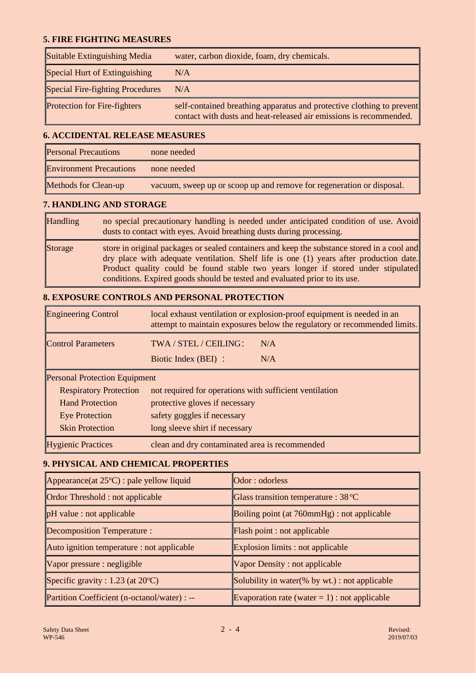### **5. FIRE FIGHTING MEASURES**

| Suitable Extinguishing Media        | water, carbon dioxide, foam, dry chemicals.                                                                                                 |
|-------------------------------------|---------------------------------------------------------------------------------------------------------------------------------------------|
| Special Hurt of Extinguishing       | N/A                                                                                                                                         |
| Special Fire-fighting Procedures    | N/A                                                                                                                                         |
| <b>Protection for Fire-fighters</b> | self-contained breathing apparatus and protective clothing to prevent<br>contact with dusts and heat-released air emissions is recommended. |

# **6. ACCIDENTAL RELEASE MEASURES**

| <b>Personal Precautions</b>    | none needed                                                           |
|--------------------------------|-----------------------------------------------------------------------|
| <b>Environment Precautions</b> | none needed                                                           |
| Methods for Clean-up           | vacuum, sweep up or scoop up and remove for regeneration or disposal. |

# **7. HANDLING AND STORAGE**

| <b>Handling</b> | no special precautionary handling is needed under anticipated condition of use. Avoid<br>dusts to contact with eyes. Avoid breathing dusts during processing.                                                                                                                                                                                             |
|-----------------|-----------------------------------------------------------------------------------------------------------------------------------------------------------------------------------------------------------------------------------------------------------------------------------------------------------------------------------------------------------|
| Storage         | store in original packages or sealed containers and keep the substance stored in a cool and<br>dry place with adequate ventilation. Shelf life is one (1) years after production date.<br>Product quality could be found stable two years longer if stored under stipulated<br>conditions. Expired goods should be tested and evaluated prior to its use. |

# **8. EXPOSURE CONTROLS AND PERSONAL PROTECTION**

| <b>Engineering Control</b>           | local exhaust ventilation or explosion-proof equipment is needed in an<br>attempt to maintain exposures below the regulatory or recommended limits. |  |
|--------------------------------------|-----------------------------------------------------------------------------------------------------------------------------------------------------|--|
| <b>Control Parameters</b>            | TWA / STEL / CEILING:<br>N/A                                                                                                                        |  |
|                                      | N/A<br>Biotic Index (BEI) :                                                                                                                         |  |
| <b>Personal Protection Equipment</b> |                                                                                                                                                     |  |
| <b>Respiratory Protection</b>        | not required for operations with sufficient ventilation                                                                                             |  |
| <b>Hand Protection</b>               | protective gloves if necessary                                                                                                                      |  |
| <b>Eye Protection</b>                | safety goggles if necessary                                                                                                                         |  |
| <b>Skin Protection</b>               | long sleeve shirt if necessary                                                                                                                      |  |
| <b>Hygienic Practices</b>            | clean and dry contaminated area is recommended                                                                                                      |  |

### **9. PHYSICAL AND CHEMICAL PROPERTIES**

| Appearance(at $25^{\circ}$ C) : pale yellow liquid | Odor: odorless                                   |
|----------------------------------------------------|--------------------------------------------------|
| Ordor Threshold : not applicable                   | Glass transition temperature : 38 °C             |
| pH value : not applicable                          | Boiling point (at 760mmHg) : not applicable      |
| <b>Decomposition Temperature:</b>                  | Flash point : not applicable                     |
| Auto ignition temperature : not applicable         | Explosion limits : not applicable                |
| Vapor pressure : negligible                        | Vapor Density : not applicable                   |
| Specific gravity : $1.23$ (at $20^{\circ}$ C)      | Solubility in water(% by wt.) : not applicable   |
| Partition Coefficient (n-octanol/water) : --       | Evaporation rate (water $= 1$ ) : not applicable |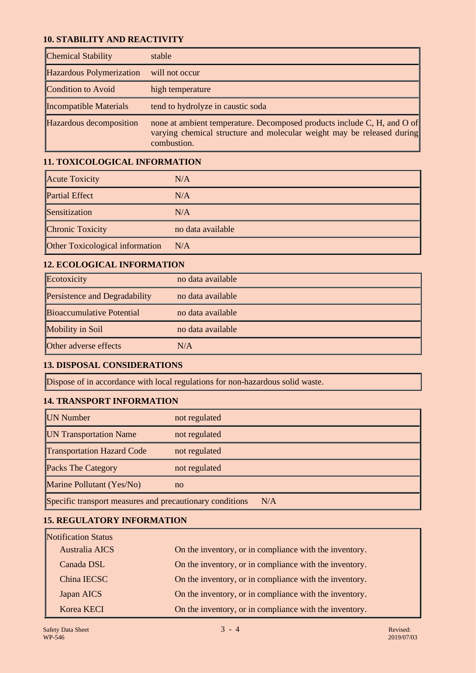#### **10. STABILITY AND REACTIVITY**

| <b>Chemical Stability</b> | stable                                                                                                                                                           |
|---------------------------|------------------------------------------------------------------------------------------------------------------------------------------------------------------|
| Hazardous Polymerization  | will not occur                                                                                                                                                   |
| Condition to Avoid        | high temperature                                                                                                                                                 |
| Incompatible Materials    | tend to hydrolyze in caustic soda                                                                                                                                |
| Hazardous decomposition   | none at ambient temperature. Decomposed products include C, H, and O of<br>varying chemical structure and molecular weight may be released during<br>combustion. |

## **11. TOXICOLOGICAL INFORMATION**

| <b>Acute Toxicity</b>                  | N/A               |
|----------------------------------------|-------------------|
| <b>Partial Effect</b>                  | N/A               |
| Sensitization                          | N/A               |
| <b>Chronic Toxicity</b>                | no data available |
| <b>Other Toxicological information</b> | N/A               |

## **12. ECOLOGICAL INFORMATION**

| Ecotoxicity                          | no data available |
|--------------------------------------|-------------------|
| <b>Persistence and Degradability</b> | no data available |
| Bioaccumulative Potential            | no data available |
| Mobility in Soil                     | no data available |
| <b>Other adverse effects</b>         | N/A               |

## **13. DISPOSAL CONSIDERATIONS**

Dispose of in accordance with local regulations for non-hazardous solid waste.

#### **14. TRANSPORT INFORMATION**

| UN Number                                                       | not regulated |  |
|-----------------------------------------------------------------|---------------|--|
| <b>UN Transportation Name</b>                                   | not regulated |  |
| <b>Transportation Hazard Code</b>                               | not regulated |  |
| <b>Packs The Category</b>                                       | not regulated |  |
| Marine Pollutant (Yes/No)                                       | no            |  |
| Specific transport measures and precautionary conditions<br>N/A |               |  |

#### **15. REGULATORY INFORMATION**

| Notification Status |                                                        |
|---------------------|--------------------------------------------------------|
| Australia AICS      | On the inventory, or in compliance with the inventory. |
| Canada DSL          | On the inventory, or in compliance with the inventory. |
| China IECSC         | On the inventory, or in compliance with the inventory. |
| Japan AICS          | On the inventory, or in compliance with the inventory. |
| Korea KECI          | On the inventory, or in compliance with the inventory. |